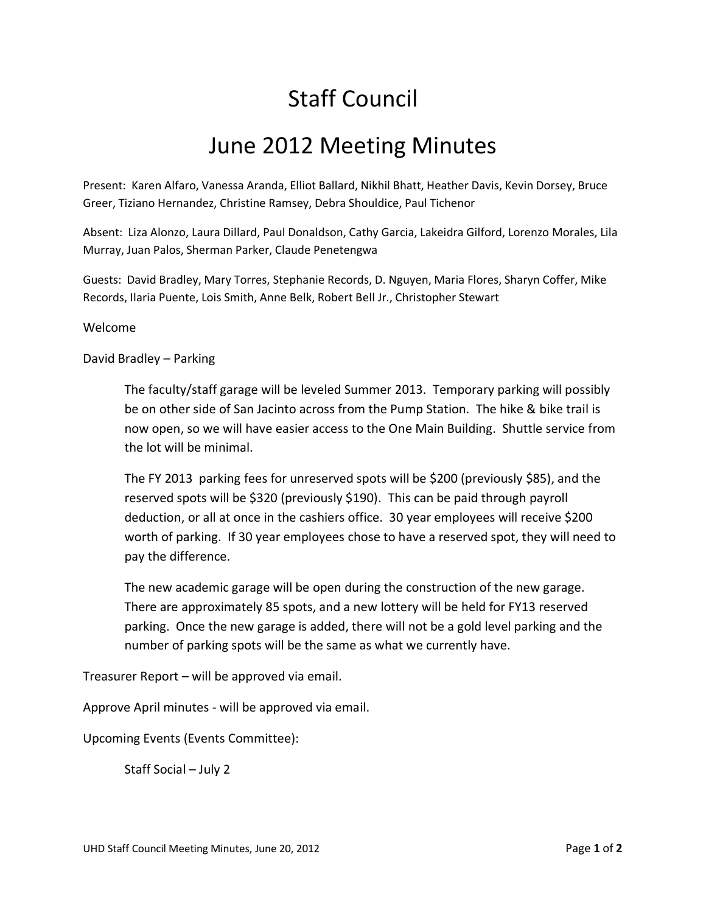## Staff Council

## June 2012 Meeting Minutes

Present: Karen Alfaro, Vanessa Aranda, Elliot Ballard, Nikhil Bhatt, Heather Davis, Kevin Dorsey, Bruce Greer, Tiziano Hernandez, Christine Ramsey, Debra Shouldice, Paul Tichenor

Absent: Liza Alonzo, Laura Dillard, Paul Donaldson, Cathy Garcia, Lakeidra Gilford, Lorenzo Morales, Lila Murray, Juan Palos, Sherman Parker, Claude Penetengwa

Guests: David Bradley, Mary Torres, Stephanie Records, D. Nguyen, Maria Flores, Sharyn Coffer, Mike Records, Ilaria Puente, Lois Smith, Anne Belk, Robert Bell Jr., Christopher Stewart

## Welcome

## David Bradley – Parking

The faculty/staff garage will be leveled Summer 2013. Temporary parking will possibly be on other side of San Jacinto across from the Pump Station. The hike & bike trail is now open, so we will have easier access to the One Main Building. Shuttle service from the lot will be minimal.

The FY 2013 parking fees for unreserved spots will be \$200 (previously \$85), and the reserved spots will be \$320 (previously \$190). This can be paid through payroll deduction, or all at once in the cashiers office. 30 year employees will receive \$200 worth of parking. If 30 year employees chose to have a reserved spot, they will need to pay the difference.

The new academic garage will be open during the construction of the new garage. There are approximately 85 spots, and a new lottery will be held for FY13 reserved parking. Once the new garage is added, there will not be a gold level parking and the number of parking spots will be the same as what we currently have.

Treasurer Report – will be approved via email.

Approve April minutes - will be approved via email.

Upcoming Events (Events Committee):

Staff Social – July 2